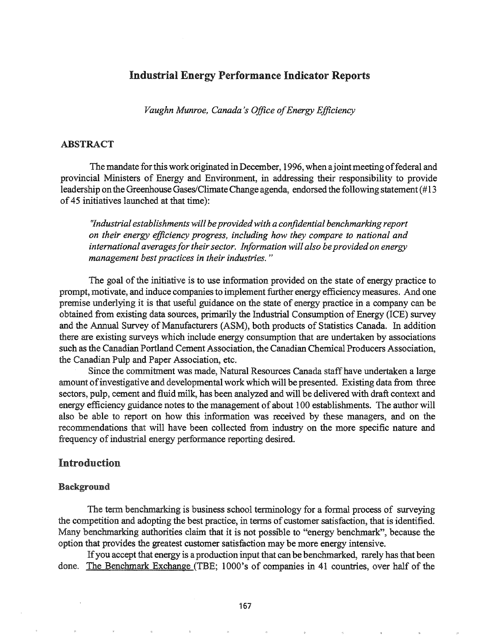# Industrial Energy Performance Indicator Reports

*Vaughn Munroe, Canada's Office of Energy Efficiency* 

### ABSTRACT

The mandate for this work originated in December, 1996, when a joint meeting of federal and provincial Ministers of Energy and Environment, in addressing their responsibility to provide leadership on the Greenhouse Gases/Climate Change agenda, endorsed the following statement (#13) of45 initiatives launched at that time):

*f7ndustrial establishments will beprovidedwith a confidential benchmarking report on their energy efficiency progress, including how they compare to national and international averagesfor theirsector. Information will also beprovidedon energy management bestpractices in their industries. "*

The goal of the initiative is to use information provided on the state of energy practice to prompt, motivate, and induce companies to implement further energy efficiency measures. And one premise underlying it is that useful guidance on the state of energy practice in a company can be obtained from existing data sources, primarily the Industrial Consumption of Energy (ICE) survey and the Annual Survey of Manufacturers (ASM), both products of Statistics Canada. In addition there are existing surveys which include energy consumption that are undertaken by associations such as the Canadian Portland Cement Association, the Canadian Chemical Producers Association, the Canadian Pulp and Paper Association, etc.

Since the commitment was made, Natural Resources Canada staffhave undertaken a large amount of investigative and developmental work which will be presented. Existing data from three sectors, pulp, cement and fluid milk, has been analyzed and will be delivered with draft context and energy efficiency guidance notes to the management of about 100 establishments. The author will also be able to report on how this information was received by these managers, and on the recommendations that will have been collected from industry on the more specific nature and frequency of industrial energy performance reporting desired.

# Introduction

### Background

The term benchmarking is business school terminology for a formal process of surveying the competition and adopting the best practice, in terms of customer satisfaction, that is identified. Many benchmarking authorities claim that it is not possible to "energy benchmark", because the option that provides the greatest customer satisfaction may be more energy intensive.

Ifyou accept that energy is a production input that can be benchmarked, rarely has that been done. The Benchmark Exchange (TBE; 1000's of companies in 41 countries, over half of the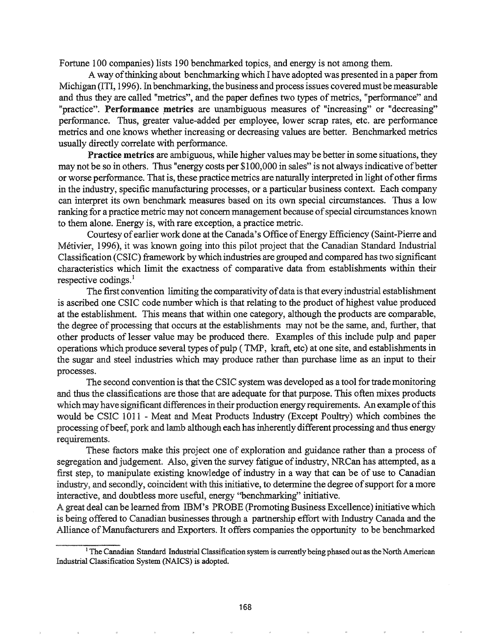Fortune 100 companies) lists 190 benchmarked topics, and energy is not among them.

A way ofthinking about benchmarking which I have adopted was presented in a paper from Michigan (ITI, 1996). In benchmarking, the business and process issues covered must be measurable and thus they are called "metrics", and the paper defines two types of metrics, "performance" and "practice". Performance metrics are unambiguous measures of "increasing" or "decreasing" performance. Thus, greater value-added per employee, lower scrap rates, etc. are performance metries and one knows whether increasing or decreasing values are better. Benchmarked metrics usually directly correlate with performance.

Practice metries are ambiguous, while higher values may be better in some situations, they may not be so in others. Thus "energy costs per \$100,000 in sales" is not always indicative of better or worse performance. That is, these practice metries are naturally interpreted in light ofother firms in the industry, specific manufacturing processes, or a particular business context. Each company can interpret its own benchmark measures based on its own special circumstances. Thus a low ranking for a practice metric may not concern management because of special circumstances known to them alone. Energy is, with rare exception, a practice metric.

Courtesy of earlier work done at the Canada's Office of Energy Efficiency (Saint-Pierre and Metivier, 1996), it was known going into this pilot project that the Canadian Standard Industrial Classification (CSIC) framework by which industries are grouped and compared has two significant characteristics which limit the exactness of comparative data from establishments within their respective codings.<sup>1</sup>

The first convention limiting the comparativity of data is that every industrial establishment is ascribed one CSIC code number which is that relating to the product of highest value produced at the establishment. This means that within one category, although the products are comparable, the degree of processing that occurs at the establishments may not be the same, and, further, that other products of lesser value may be produced there. Examples of this include pulp and paper operations which produce several types of pulp (TMP, kraft, etc) at one site, and establishments in the sugar and steel industries which may produce rather than purchase lime as an input to their processes..

The second convention is that the CSIC system was developed as a tool for trade monitoring and thus the classifications are those that are adequate for that purpose. This often mixes products which may have significant differences in their production energy requirements. An example of this would be CSIC 1011 - Meat and Meat Products Industry (Except Poultry) which combines the processing and lamb although each has inherently different processing and thus energy requirements.

These factors make this project one of exploration and guidance rather than a process of segregation and judgement. Also, given the survey fatigue of industry, NRCan has attempted, as a first step, to manipulate existing knowledge of industry in a way that can be of use to Canadian industry, and secondly, coincident with this initiative, to determine the degree of support for a more interactive, and doubtless more useful, energy "benchmarking" initiative.

A great deal can be learned from IBM's PROBE (Promoting Business Excellence) initiative which is being offered to Canadian businesses through a partnership effort with Industry Canada and the Alliance of Manufacturers and Exporters. It offers companies the opportunity to be benchmarked

<sup>&</sup>lt;sup>1</sup> The Canadian Standard Industrial Classification system is currently being phased out as the North American Industrial Classification System (NAICS) is adopted.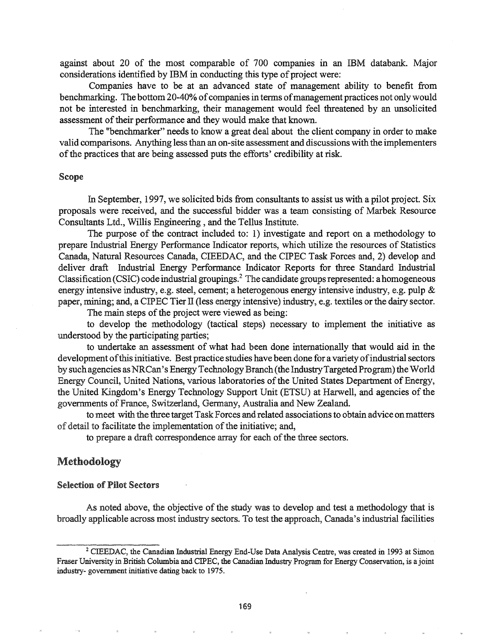against about 20 of the most comparable of 700 companies in an IBM databank. Major considerations identified by IBM in conducting this type of project were:

Companies have to be at an advanced state of management ability to benefit from benchmarking. The bottom 20-40% of companies in terms of management practices not only would not be interested in benchmarking, their management would feel threatened by an unsolicited assessment of their performance and they would make that known.

The "benchmarker" needs to know a great deal about the client company in order to make valid comparisons. Anything less than an on-site assessment and discussions with the implementers of the practices that are being assessed puts the efforts' credibility at risk.

#### Scope

In September, 1997, we solicited bids from consultants to assist us with a pilot project. Six proposals were received, and the successful bidder was a team consisting of Marbek Resource Consultants Ltd., Willis Engineering, and the Tellus Institute.

The purpose of the contract included to: 1) investigate and report on a methodology to prepare Industrial Energy Performance Indicator reports, which utilize the resources of Statistics Canada, Natural Resources Canada, CIEEDAC, and the CIPEC Task Forces and, 2) develop and deliver draft Industrial Energy Performance Indicator Reports for three Standard Industrial Classification (CSIC) code industrial groupings.<sup>2</sup> The candidate groupsrepresented: a homogeneous energy intensive industry, e.g. steel, cement; a heterogenous energy intensive industry, e.g. pulp & paper, mining; and, a CIPEC Tier II (less energy intensive) industry, e.g. textiles or the dairy sector.

The main steps of the project were viewed as being:

to develop the methodology (tactical steps) necessary to implement the initiative as understood by the participating parties;

to undertake an assessment of what had been done internationally that would aid in the development of this initiative. Best practice studies have been done for a variety of industrial sectors by such agencies as NRCan's Energy Technology Branch (the Industry Targeted Program) the World Energy Council, United Nations, various laboratories of the United States Department of Energy, the United Kingdom's Energy Technology Support Unit (ETSU) at Harwell, and agencies of the governments of France, Switzerland, Germany, Australia and New Zealand.

to meet with the three target Task Forces and related associations to obtain advice on matters of detail to facilitate the implementation of the initiative; and,

to prepare a draft correspondence array for each of the three sectors.

# Methodology

#### Selection of Pilot Sectors

As noted above, the objective of the study was to develop and test a methodology that is broadly applicable across most industry sectors. To test the approach, Canada's industrial facilities

<sup>&</sup>lt;sup>2</sup> CIEEDAC, the Canadian Industrial Energy End-Use Data Analysis Centre, was created in 1993 at Simon Fraser University in British Columbia andCIPEC, the Canadian Industry Program for Energy Conservation, is a joint industry- government initiative dating back to 1975.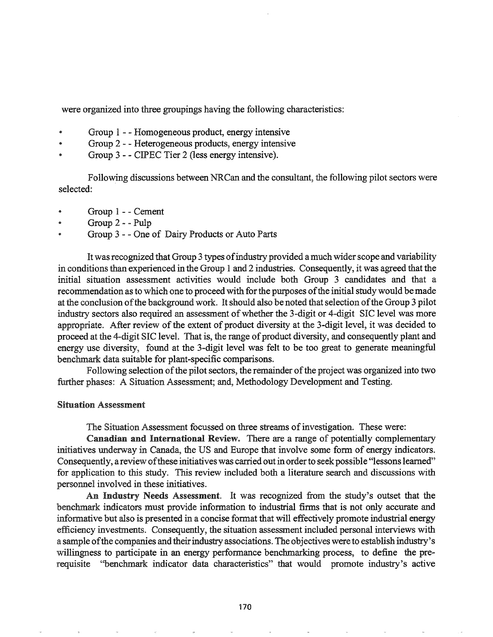were organized into three groupings having the following characteristics:

- Group 1 - Homogeneous product, energy intensive
- Group 2 - Heterogeneous products, energy intensive
- Group 3 - CIPEC Tier 2 (less energy intensive).

Follow:ing discussions between NRCan and the consultant, the following pilot sectors were selected:

- Group 1 - Cement
- Group 2 - Pulp
- Group 3 - One of Dairy Products or Auto Parts

It was recognized that Group 3 types of industry provided a much wider scope and variability in conditions than experienced in the Group 1and 2 industries. Consequently, it was agreed that the initial situation assessment activities would include both Group 3 candidates and that a recommendation as to which one to proceed with for the purposes of the initial study would be made at the conclusion of the background work. It should also be noted that selection of the Group 3 pilot industry sectors also required an assessment of whether the 3-digit or 4-digit SIC level was more appropriate. After review of the extent of product diversity at the 3-digit level, it was decided to proceed at the 4-digit SIC level. That is, the range of product diversity, and consequently plant and energy use diversity, found at the 3-digit level was felt to be too great to generate meaningful benchmark data suitable for plant-specific comparisons.

Following selection of the pilot sectors, the remainder of the project was organized into two further phases: A Situation Assessment; and, Methodology Development and Testing.

#### Situation Assessment

The Situation Assessment focussed on three streams of investigation. These were:

Canadian and International Review. There are a range of potentially complementary initiatives underway in Canada, the US and Europe that involve some form of energy indicators. Consequently, a review of these initiatives was carried out in order to seek possible "lessons learned" for application to this study. This review included both a literature search and discussions with personnel involved in these initiatives..

An Industry Needs Assessment. It was recognized from the study's outset that the benchmark indicators must provide information to industrial firms that is not only accurate and informative but also is presented in a concise fonnat that will effectively promote industrial energy efficiency investments. Consequently, the situation assessment included personal interviews with a sample of the companies and their industry associations. The objectives were to establish industry's willingness to participate in an energy performance benchmarking process, to define the prerequisite ''benchmark indicator data characteristics" that would promote industry's active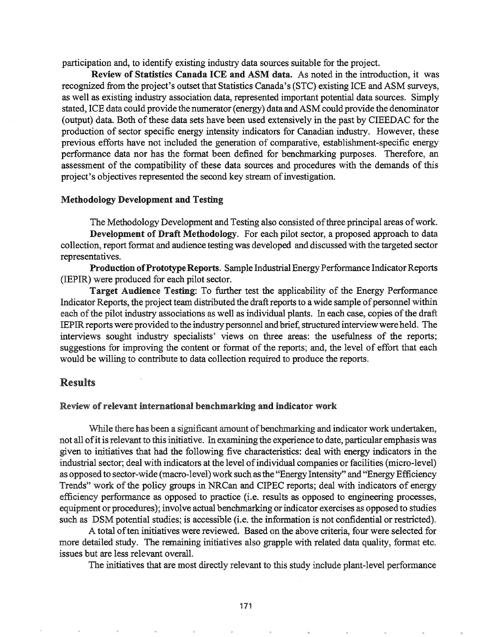participation and, to identify existing industry data sources suitable for the project.

Review of Statistics Canada ICE and ASM data. As noted in the introduction, it was recognized from the project's outset that Statistics Canada's (STC) existing ICE and ASM surveys, as well as existing industry association data, represented important potential data sources. Simply stated, ICE data could provide the numerator (energy) data and ASM could provide the denominator (output) data. Both of these data sets have been used extensively in the past by CIEEDAC for the production of sector specific energy intensity indicators for Canadian industry. However, these previous efforts have not included the generation of comparative, establishment-specific energy perfonnance data nor has the format been defined for benchmarking purposes. Therefore, an assessment of the compatibility of these data sources and procedures with the demands of this project's objectives represented the second key stream of investigation.

### Methodology Development and Testing

The Methodology Development and Testing also consisted of three principal areas of work. Development of Draft Methodology. For each pilot sector, a proposed approach to data collection, report format and audience testing was developed and discussed with the targeted sector representatives.

Production of Prototype Reports. Sample Industrial Energy Performance Indicator Reports (IEPIR) were produced for each pilot sector.

Target Audience Testing: To further test the applicability of the Energy Perfonnance Indicator Reports, the project team distributed the draft reports to a wide sample of personnel within each of the pilot industry associations as well as individual plants. In each case, copies of the draft IEPIR reports were provided to the industry personnel and brief, structured interview were held. The interviews sought industry specialists' views on three areas: the usefulness of the reports; suggestions for improving the content or format of the reports; and, the level of effort that each would be willing to contribute to data collection required to produce the reports.

### Results

#### Review of relevant international benchmarking and indicator work

While there has been a significant amount of benchmarking and indicator work undertaken, not all of it is relevant to this initiative. In examining the experience to date, particular emphasis was given to initiatives that had the following five characteristics: deal with energy indicators in the industrial sector; deal with indicators at the level of individual companies or facilities (micro-level) as opposed to sector-wide (macro-level) work such as the "Energy Intensity" and "Energy Efficiency Trends" work of the policy groups in NRCan and CIPEC reports; deal with indicators of energy efficiency performance as opposed to practice (i.e. results as opposed to engineering processes, equipment or procedures); involve actual benchmarking or indicator exercises as opposed to studies such as DSM potential studies; is accessible (i.e. the information is not confidential or restricted).

A total of ten initiatives were reviewed. Based on the above criteria, four were selected for more detailed study. The remaining initiatives also grapple with related data quality, format etc. issues but are less relevant overall.

The initiatives that are most directly relevant to this study include plant-level performance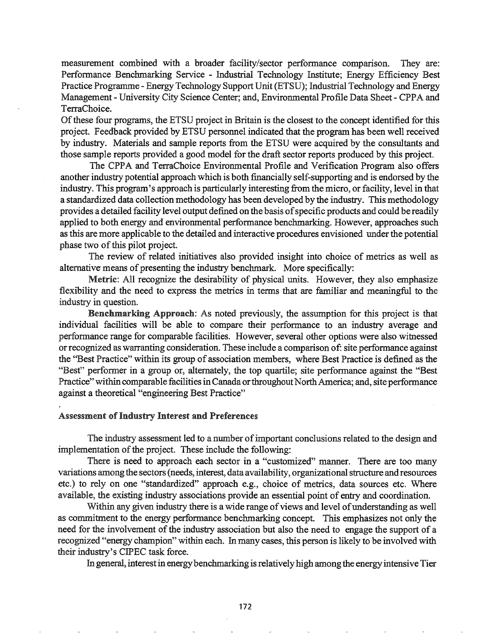measurement combined with a broader facility/sector perfonnance comparison. They are: Performance Benchmarking Service - Industrial Technology Institute; Energy Efficiency Best Practice Programme - Energy Technology Support Unit (ETSU); Industrial Technology and Energy Management - University City Science Center; and, Environmental Profile Data Sheet - CPPA and TerraChoice.

Of these four programs, the ETSU project in Britain is the closest to the concept identified for this project. Feedback provided by ETSU personnel indicated that the program has been well received by industry. Materials and sample reports from the ETSU were acquired by the consultants and those sample reports provided a good model for the draft sector reports produced by this project.

The CPPA and TerraChoice Environmental Profile and Verification Program also offers another industry potential approach which is both financially self-supporting and is endorsed by the industry. This program's approach is particularly interesting from the micro, or facility, level in that a standardized data collection methodology has been developed by the industry. This methodology provides a detailed facility level output defined on the basis of specific products and could be readily applied to both energy and environmental performance benchmarking. However, approaches such as this are more applicable to the detailed and interactive procedures envisioned under the potential phase two of this pilot project.

The review of related initiatives also provided insight into choice of metrics as well as alternative means of presenting the industry benchmark. More specifically:

Metric: All recognize the desirability of physical units. However, they also emphasize flexibility and the need to express the metries in terms that are familiar and meaningful to the industry in question.

Benchmarking Approach: As noted previously, the assumption for this project is that individual facilities will be able to compare their performance to an industry average and performance range for comparable facilities. However, several other options were also witnessed or recognized as warranting consideration. These include a comparison of: site performance against the "Best Practice" within its group of association members, where Best Practice is defined as the "Best" performer in a group or, alternately, the top quartile; site performance against the "Best Practice" within comparable facilities in Canada or throughout North America; and, site performance against a theoretical "engineering Best Practice"

### Assessment of Industry Interest and Preferences

The industry assessment led to a number of important conclusions related to the design and implementation of the project. These include the following:

There is need to approach each sector in a "customized" manner. There are too many variations among the sectors (needs, interest, data availability, organizational structure and resources etc.) to rely on one "standardized" approach e.g., choice of metrics, data sources etc. Where available, the existing industry associations provide an essential point of entry and coordination.

Within any given industry there is a wide range of views and level of understanding as well as commitment to the energy performance benchmarking concept. This emphasizes not only the need for the involvement of the industry association but also the need to engage the support of a recognized "energy champion" within each. In many cases, this person is likely to be involved with their industry's CIPEC task force..

In general, interest in energybenchmarking isrelativelyhigh among the energyintensiveTier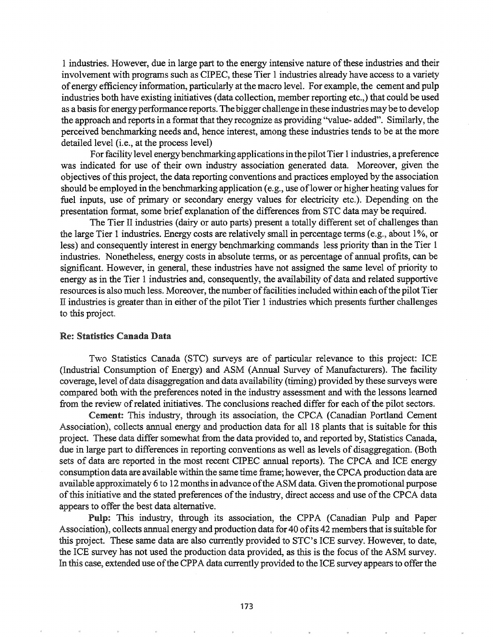1 industries. However, due in large part to the energy intensive nature ofthese industries and their involvement with programs such as CIPEC, these Tier 1 industries already have access to a variety ofenergy efficiency information, particularly at the macro level. For example, the cement and pulp industries both have existing initiatives (data collection, member reporting etc.,) that could be used as a basis for energy perfonnance reports. The bigger challenge in these industries maybe to develop the approach and reports in a format that they recognize as providing "value- added". Similarly, the perceived benchmarking needs and, hence interest, among these industries tends to be at the more detailed level (i.e., at the process level)

For facility level energy benchmarking applications in the pilot Tier 1 industries, a preference was indicated for use of their own industry association generated data. Moreover, given the objectives ofthis project, the data reporting conventions and practices employed by the association should be employed in the benchmarking application (e.g., use of lower or higher heating values for fuel inputs, use of primary or secondary energy values for electricity etc.). Depending on the presentation format, some brief explanation of the differences from STC data may be required.

The Tier II industries (dairy or auto parts) present a totally different set of challenges than the large Tier 1 industries. Energy costs are relatively small in percentage terms (e.g., about 1%, or less) and consequently interest in energy benchmarking commands less priority than in the Tier 1 industries. Nonetheless, energy costs in absolute tenns, or as percentage of annual profits, can be significant. However, in general, these industries have not assigned the same level of priority to energy as in the Tier 1 industries and, consequently, the availability of data and related supportive resources is also much less. Moreover, the number of facilities included within each of the pilot Tier II industries is greater than in either of the pilot Tier 1 industries which presents further challenges to this project.

#### Re: Statistics Canada Data

Two Statistics Canada (STC) surveys are of particular relevance to this project: ICE (Industrial Consumption of Energy) and ASM (Annual Survey of Manufacturers). The facility coverage, level of data disaggregation and data availability (timing) provided by these surveys were compared both with the preferences noted in the industry assessment and with the lessons learned from the review of related initiatives. The conclusions reached differ for each of the pilot sectors.

Cement: This industry, through its association, the CPCA (Canadian Portland Cement Association), collects annual energy and production data for all 18 plants that is suitable for this project. These data differ somewhat from the data provided to, and reported by, Statistics Canada, due in large part to differences in reporting conventions as well as levels of disaggregation. (Both sets of data are reported in the most recent CIPEC annual reports). The CPCA and ICE energy consumption data are available within the same time frame; however, the CPCA production data are available approximately 6 to 12 months in advance ofthe ASM data. Given the promotional purpose of this initiative and the stated preferences of the industry, direct access and use of the CPCA data appears to offer the best data alternative.

Pulp: This industry, through its association, the CPPA (Canadian Pulp and Paper Association), collects annual energy and production data for 40 of its 42 members that is suitable for this project. These same data are also currently provided to STC's ICE survey. However, to date, the ICE survey has not used the production data provided, as this is the focus of the ASM survey. In this case, extended use of the CPPA data currently provided to the ICE survey appears to offer the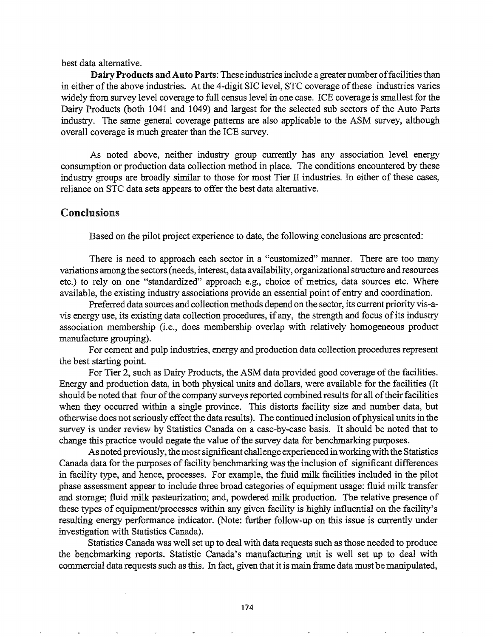best data alternative.

Dairy Products and Auto Parts: These industries include a greater number of facilities than in either of the above industries. At the 4-digit SIC level, STC coverage of these industries varies widely from survey level coverage to full census level in one case. ICE coverage is smallest for the Dairy Products (both 1041 and 1049) and largest for the selected sub sectors of the Auto Parts industry. The same general coverage patterns are also applicable to the ASM survey, although overall coverage is much greater than the ICE survey.

As noted above, neither industry group currently has any association level energy consumption or production data collection method in place. The conditions encountered by these industry groups are broadly similar to those for most Tier II industries. In either of these cases, reliance on STC data sets appears to offer the best data alternative.

# Conclusions

Based on the pilot project experience to date, the following conclusions are presented:

There is need to approach each sector in a "customized" manner. There are too many variations among the sectors(needs, interest, data availability, organizationalstructure and resources etc.) to rely on one "standardized" approach e.g., choice of metrics, data sources etc. Where available, the existing industry associations provide an essential point of entry and coordination.

Preferred data sources and collection methods depend on the sector, its current priority vis-avis energy use, its existing data collection procedures, if any, the strength and focus of its industry association membership (i.e., does membership overlap with relatively homogeneous product manufacture grouping).

For cement and pulp industries, energy and production data collection procedures represent the best starting point.

For Tier 2, such as Dairy Products, the ASM data provided good coverage of the facilities. Energy and production data, in both physical units and dollars, were available for the facilities (It should be noted that four of the company surveys reported combined results for all of their facilities when they occurred within a single province. This distorts facility size and number data, but otherwise does not seriously effect the data results). The continued inclusion of physical units in the survey is under review by Statistics Canada on a case-by-case basis. It should be noted that to change this practice would negate the value of the survey data for benchmarking purposes.

As noted previously, the most significant challenge experienced in working with the Statistics Canada data for the purposes of facility benchmarking was the inclusion of significant differences in facility type, and hence, processes. For example, the fluid milk facilities included in the pilot phase assessment appear to include three broad categories of equipment usage: fluid milk transfer and storage; fluid milk pasteurization; and, powdered milk production. The relative presence of these types of equipment/processes within any given facility is highly influential on the facility's resulting energy performance indicator. (Note: further follow-up on this issue is currently under investigation with Statistics Canada).

Statistics Canada was well set up to deal with data requests such as those needed to produce the benchmarking reports. Statistic Canada's manufacturing unit is well set up to deal with commercial data requests such as this. In fact, given that it is main frame data must be manipulated,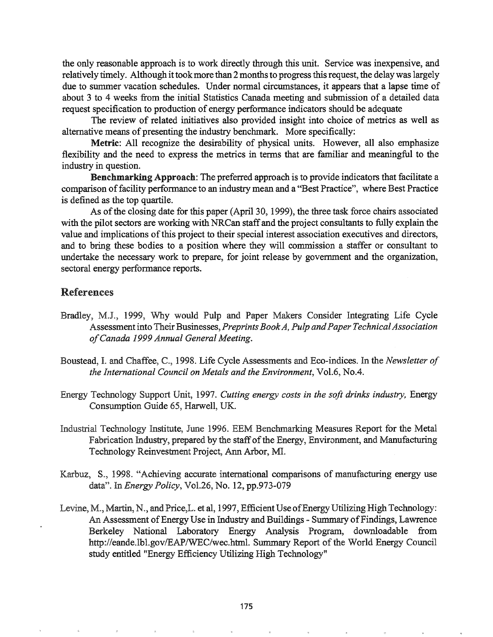the only reasonable approach is to work directly through this unit. Service was inexpensive, and relatively timely. Although it took more than 2 months to progress this request, the delay was largely due to summer vacation schedules. Under normal circumstances, it appears that a lapse time of about 3 to 4 weeks from the initial Statistics Canada meeting and submission of a detailed data request specification to production of energy performance indicators should be adequate

The review of related initiatives also provided insight into choice of metrics as well as alternative means of presenting the industry benchmark. More specifically:

Metric: All recognize the desirability of physical units. However, all also emphasize flexibility and the need to express the metrics in terms that are familiar and meaningful to the industry in question.

Benchmarking Approach: The preferred approach is to provide indicators that facilitate a comparison of facility performance to an industry mean and a "Best Practice", where Best Practice is defined as the top quartile.

As of the closing date for this paper (April 30, 1999), the three task force chairs associated with the pilot sectors are working with NRCan staff and the project consultants to fully explain the value and implications of this project to their special interest association executives and directors, and to bring these bodies to a position where they will commission a staffer or consultant to undertake the necessary work to prepare, for joint release by government and the organization, sectoral energy performance reports.

# References

- Bradley, M.J., 1999, Why would Pulp and Paper Makers Consider Integrating Life Cycle Assessment into Their Businesses, *Preprints Book A, Pulp and Paper Technical Association ofCanada* 1999 *Annual General Meeting.*
- Boustead,1. and Chaffee, C~, 1998. Life Cycle Assessments and Eco-indices. In the *Newsletter of the International Council on Metals and the Environment,* Vol.6, No.4.
- Energy Technology Support Unit, 1997. *Cutting energy costs in the soft drinks industry,* Energy Consumption Guide 65, Harwell, UK.
- Industrial Technology Institute, June 1996. EEM Benchmarking Measures Report for the Metal Fabrication Industry, prepared by the staff of the Energy, Environment, and Manufacturing Technology Reinvestment Project, Ann Arbor, MI.
- Karbuz, S., 1998. "Achieving accurate international comparisons of manufacturing energy use data"9 In *Energy Policy,* Vol.26, No. 12, pp.973-079
- Levine, M., Martin, N., and Price, L. et al, 1997, Efficient Use of Energy Utilizing High Technology: An Assessment of Energy Use in Industry and Buildings - Summary of Findings, Lawrence Berkeley National Laboratory Energy Analysis Program, downloadable from http://eande.lbl.gov/EAP/WEC/wec.html. Summary Report of the World Energy Council study entitled "Energy Efficiency Utilizing High Technology"